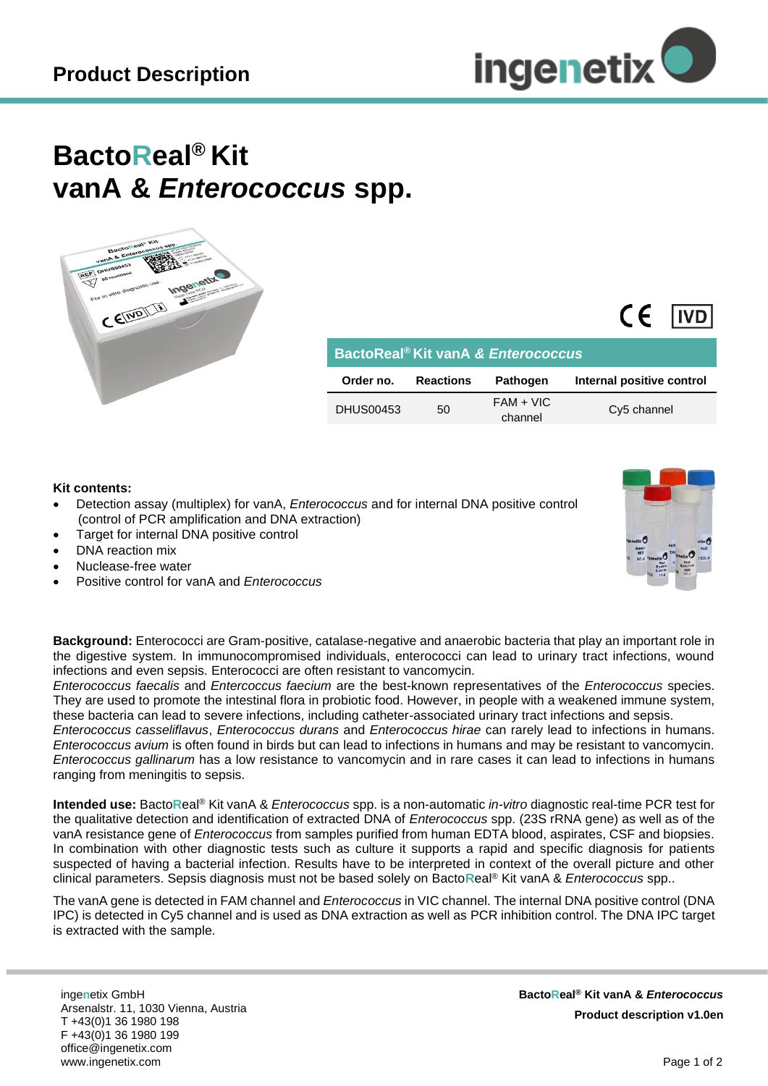

## **BactoReal® Kit vanA &** *Enterococcus* **spp.**



| BactoReal <sup>®</sup> Kit vanA & Enterococcus |    |                        |                           |  |  |  |  |  |  |  |  |  |
|------------------------------------------------|----|------------------------|---------------------------|--|--|--|--|--|--|--|--|--|
| <b>Reactions</b><br>Order no.                  |    | <b>Pathogen</b>        | Internal positive control |  |  |  |  |  |  |  |  |  |
| <b>DHUS00453</b>                               | 50 | $FAM + VIC$<br>channel | Cy5 channel               |  |  |  |  |  |  |  |  |  |

## **Kit contents:**

- Detection assay (multiplex) for vanA, *Enterococcus* and for internal DNA positive control (control of PCR amplification and DNA extraction)
- Target for internal DNA positive control
- DNA reaction mix
- Nuclease-free water
- Positive control for vanA and *Enterococcus*



 $\epsilon$ 

**I**IVD

**Background:** Enterococci are Gram-positive, catalase-negative and anaerobic bacteria that play an important role in the digestive system. In immunocompromised individuals, enterococci can lead to urinary tract infections, wound infections and even sepsis. Enterococci are often resistant to vancomycin.

*Enterococcus faecalis* and *Entercoccus faecium* are the best-known representatives of the *Enterococcus* species. They are used to promote the intestinal flora in probiotic food. However, in people with a weakened immune system, these bacteria can lead to severe infections, including catheter-associated urinary tract infections and sepsis.

*Enterococcus casseliflavus*, *Enterococcus durans* and *Enterococcus hirae* can rarely lead to infections in humans. *Enterococcus avium* is often found in birds but can lead to infections in humans and may be resistant to vancomycin. *Enterococcus gallinarum* has a low resistance to vancomycin and in rare cases it can lead to infections in humans ranging from meningitis to sepsis.

**Intended use:** Bacto**R**eal® Kit vanA & *Enterococcus* spp. is a non-automatic *in-vitro* diagnostic real-time PCR test for the qualitative detection and identification of extracted DNA of *Enterococcus* spp. (23S rRNA gene) as well as of the vanA resistance gene of *Enterococcus* from samples purified from human EDTA blood, aspirates, CSF and biopsies. In combination with other diagnostic tests such as culture it supports a rapid and specific diagnosis for patients suspected of having a bacterial infection. Results have to be interpreted in context of the overall picture and other clinical parameters. Sepsis diagnosis must not be based solely on Bacto**R**eal® Kit vanA & *Enterococcus* spp..

The vanA gene is detected in FAM channel and *Enterococcus* in VIC channel. The internal DNA positive control (DNA IPC) is detected in Cy5 channel and is used as DNA extraction as well as PCR inhibition control. The DNA IPC target is extracted with the sample.

inge**n**etix GmbH Arsenalstr. 11, 1030 Vienna, Austria T +43(0)1 36 1980 198 F +43(0)1 36 1980 199 office@ingenetix.com www.ingenetix.com

 **BactoReal® Kit vanA &** *Enterococcus* **Product description v1.0en**